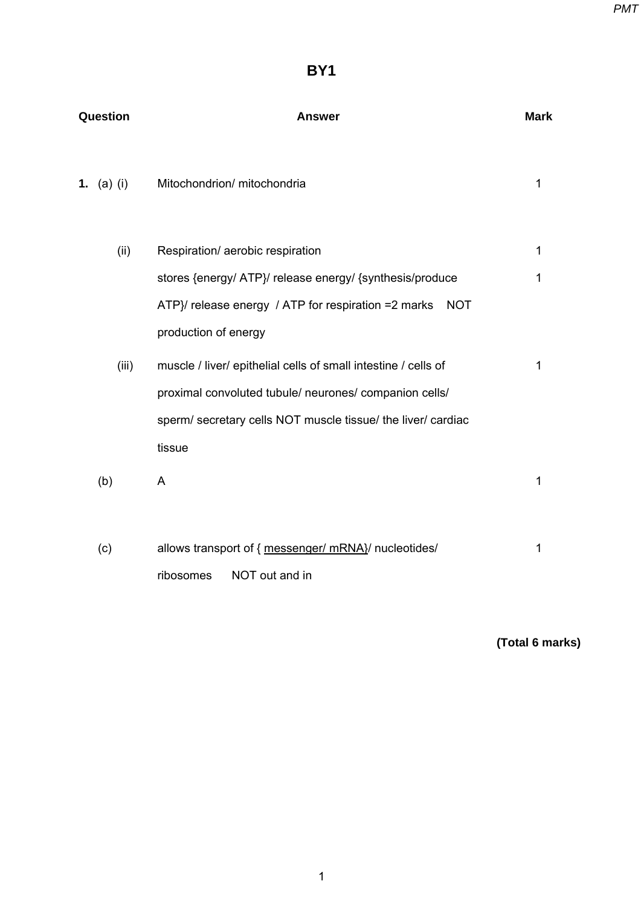# **BY1**

| Question   | Answer                                                            |   |
|------------|-------------------------------------------------------------------|---|
| 1. (a) (i) | Mitochondrion/ mitochondria                                       | 1 |
| (ii)       | Respiration/ aerobic respiration                                  | 1 |
|            | stores {energy/ ATP}/ release energy/ {synthesis/produce          | 1 |
|            | ATP}/ release energy / ATP for respiration =2 marks<br><b>NOT</b> |   |
|            | production of energy                                              |   |
| (iii)      | muscle / liver/ epithelial cells of small intestine / cells of    | 1 |
|            | proximal convoluted tubule/ neurones/ companion cells/            |   |
|            | sperm/ secretary cells NOT muscle tissue/ the liver/ cardiac      |   |
|            | tissue                                                            |   |
| (b)        | A                                                                 | 1 |
|            |                                                                   |   |
| (c)        | allows transport of { messenger/ mRNA}/ nucleotides/              | 1 |
|            | NOT out and in<br>ribosomes                                       |   |

**(Total 6 marks)**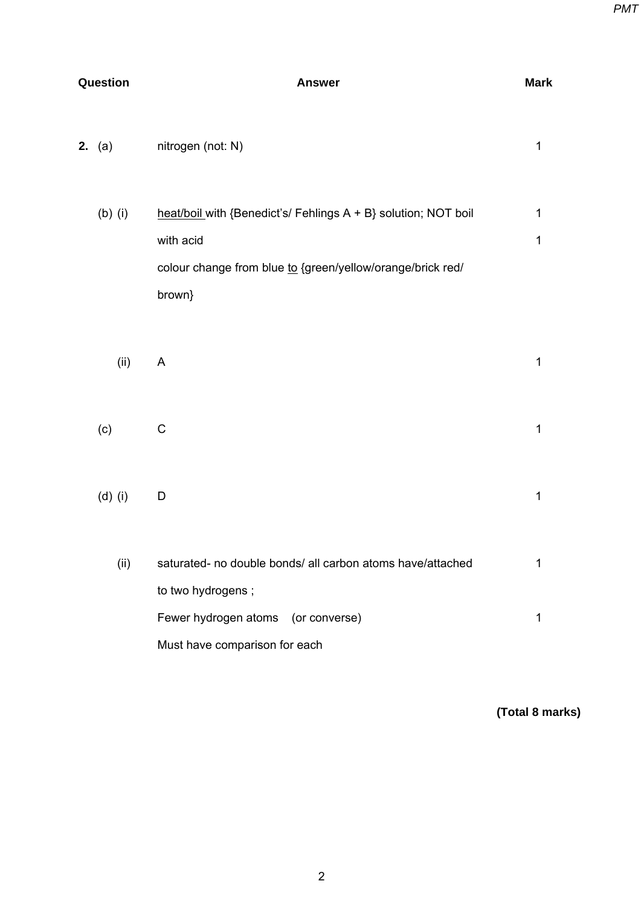| Question |                 | <b>Answer</b>                                                                                                                                       | <b>Mark</b> |  |
|----------|-----------------|-----------------------------------------------------------------------------------------------------------------------------------------------------|-------------|--|
|          | <b>2.</b> $(a)$ | nitrogen (not: N)                                                                                                                                   | $\mathbf 1$ |  |
|          | $(b)$ (i)       | heat/boil with {Benedict's/ Fehlings A + B} solution; NOT boil<br>with acid<br>colour change from blue to {green/yellow/orange/brick red/<br>brown} | 1<br>1      |  |
|          | (ii)            | A                                                                                                                                                   | $\mathbf 1$ |  |
|          | (c)             | $\mathsf C$                                                                                                                                         | $\mathbf 1$ |  |
|          | $(d)$ (i)       | D                                                                                                                                                   | 1           |  |
|          | (ii)            | saturated- no double bonds/ all carbon atoms have/attached<br>to two hydrogens;                                                                     | 1           |  |
|          |                 | Fewer hydrogen atoms (or converse)<br>Must have comparison for each                                                                                 | 1           |  |

**(Total 8 marks)**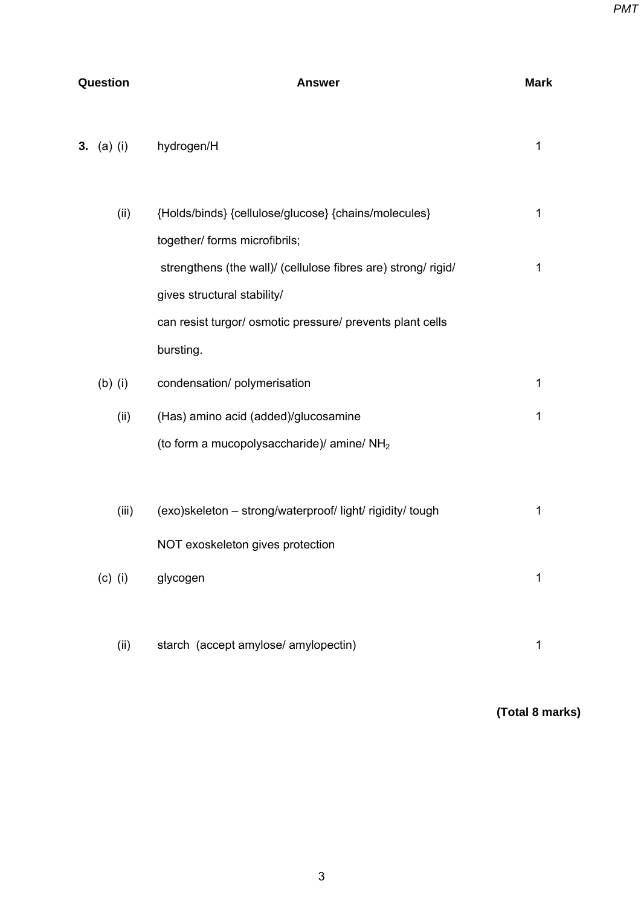| Question |            | <b>Answer</b>                                                 |   |
|----------|------------|---------------------------------------------------------------|---|
|          | 3. (a) (i) | hydrogen/H                                                    | 1 |
|          | (ii)       | {Holds/binds} {cellulose/glucose} {chains/molecules}          | 1 |
|          |            | together/ forms microfibrils;                                 |   |
|          |            | strengthens (the wall)/ (cellulose fibres are) strong/ rigid/ | 1 |
|          |            | gives structural stability/                                   |   |
|          |            | can resist turgor/ osmotic pressure/ prevents plant cells     |   |
|          |            | bursting.                                                     |   |
|          | $(b)$ (i)  | condensation/ polymerisation                                  | 1 |
|          | (ii)       | (Has) amino acid (added)/glucosamine                          | 1 |
|          |            | (to form a mucopolysaccharide)/ amine/ NH <sub>2</sub>        |   |
|          |            |                                                               |   |
|          | (iii)      | (exo)skeleton - strong/waterproof/ light/ rigidity/ tough     | 1 |
|          |            | NOT exoskeleton gives protection                              |   |
|          | $(c)$ (i)  | glycogen                                                      | 1 |
|          |            |                                                               |   |
|          | (ii)       | starch (accept amylose/ amylopectin)                          | 1 |

**(Total 8 marks)**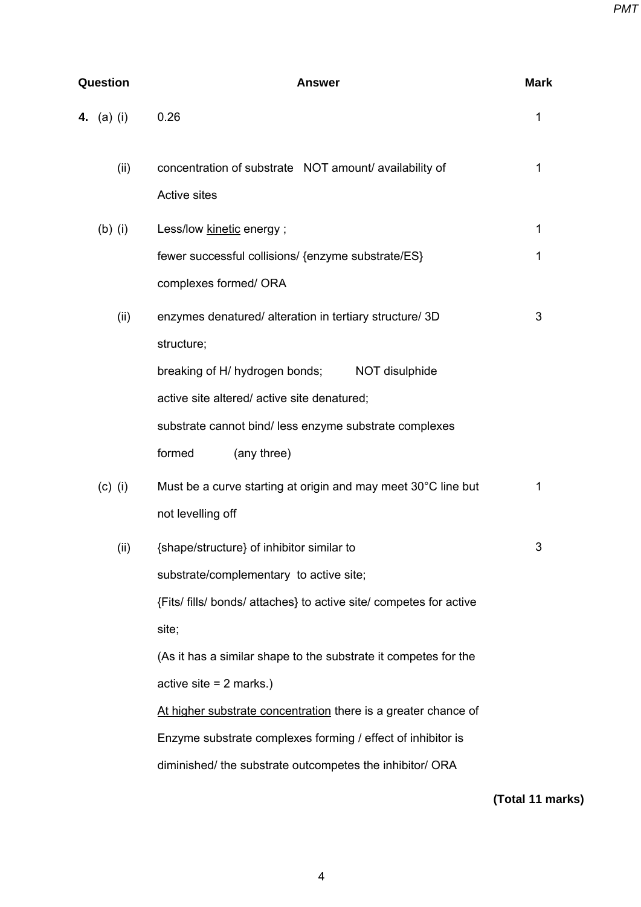| Question   | <b>Answer</b>                                                      | <b>Mark</b> |  |
|------------|--------------------------------------------------------------------|-------------|--|
| 4. (a) (i) | 0.26                                                               | 1           |  |
| (ii)       | concentration of substrate NOT amount/availability of              | 1           |  |
|            | <b>Active sites</b>                                                |             |  |
| $(b)$ (i)  | Less/low kinetic energy;                                           | 1           |  |
|            | fewer successful collisions/ {enzyme substrate/ES}                 | 1           |  |
|            | complexes formed/ ORA                                              |             |  |
| (ii)       | enzymes denatured/ alteration in tertiary structure/ 3D            | 3           |  |
|            | structure;                                                         |             |  |
|            | breaking of H/ hydrogen bonds;<br>NOT disulphide                   |             |  |
|            | active site altered/active site denatured;                         |             |  |
|            | substrate cannot bind/ less enzyme substrate complexes             |             |  |
|            | formed<br>(any three)                                              |             |  |
| $(c)$ (i)  | Must be a curve starting at origin and may meet 30°C line but      | 1           |  |
|            | not levelling off                                                  |             |  |
| (ii)       | {shape/structure} of inhibitor similar to                          | 3           |  |
|            | substrate/complementary to active site;                            |             |  |
|            | {Fits/ fills/ bonds/ attaches} to active site/ competes for active |             |  |
|            | site;                                                              |             |  |
|            | (As it has a similar shape to the substrate it competes for the    |             |  |
|            | active site $= 2$ marks.)                                          |             |  |
|            | At higher substrate concentration there is a greater chance of     |             |  |
|            | Enzyme substrate complexes forming / effect of inhibitor is        |             |  |
|            | diminished/ the substrate outcompetes the inhibitor/ ORA           |             |  |

**(Total 11 marks)**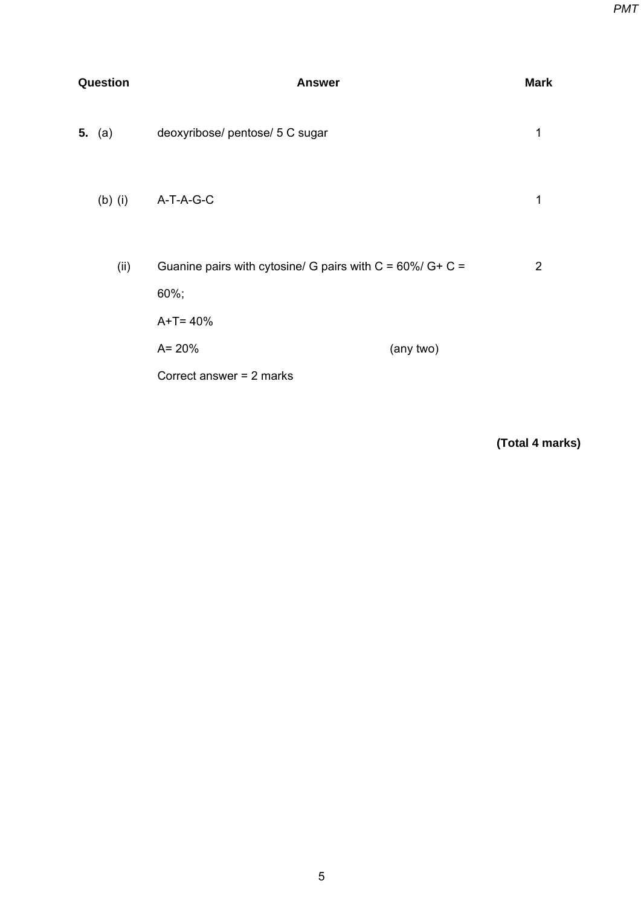| Question |           | <b>Answer</b>                                                             |           |                |
|----------|-----------|---------------------------------------------------------------------------|-----------|----------------|
|          | 5. $(a)$  | deoxyribose/ pentose/ 5 C sugar                                           |           | 1              |
|          | $(b)$ (i) | A-T-A-G-C                                                                 |           | 1              |
|          | (ii)      | Guanine pairs with cytosine/ G pairs with $C = 60\%$ / G+ C =<br>$60\%$ ; |           | $\overline{2}$ |
|          |           | $A+T=40%$<br>$A = 20%$                                                    | (any two) |                |
|          |           | Correct answer $= 2$ marks                                                |           |                |

**(Total 4 marks)**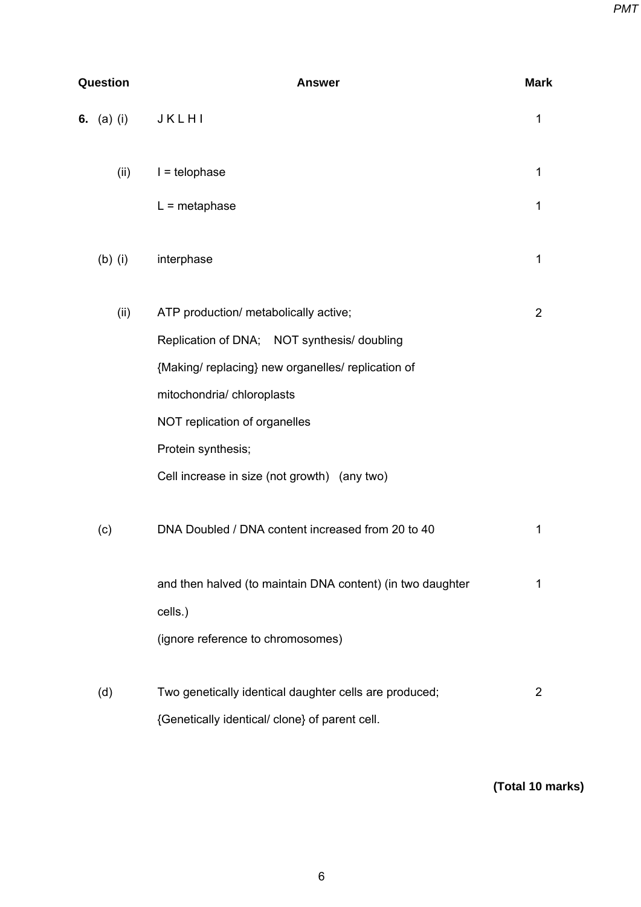| Question |                   | <b>Answer</b>                                              |                |  |
|----------|-------------------|------------------------------------------------------------|----------------|--|
|          | <b>6.</b> (a) (i) | JKLHI                                                      | 1              |  |
|          | (ii)              | $I = telophase$                                            | 1              |  |
|          |                   | $L =$ metaphase                                            | 1              |  |
|          | $(b)$ (i)         | interphase                                                 | 1              |  |
|          | (ii)              | ATP production/ metabolically active;                      | $\overline{2}$ |  |
|          |                   | Replication of DNA; NOT synthesis/ doubling                |                |  |
|          |                   | {Making/replacing} new organelles/replication of           |                |  |
|          |                   | mitochondria/chloroplasts                                  |                |  |
|          |                   | NOT replication of organelles                              |                |  |
|          |                   | Protein synthesis;                                         |                |  |
|          |                   | Cell increase in size (not growth) (any two)               |                |  |
|          | (c)               | DNA Doubled / DNA content increased from 20 to 40          | 1              |  |
|          |                   | and then halved (to maintain DNA content) (in two daughter | 1              |  |
|          |                   | cells.)                                                    |                |  |
|          |                   | (ignore reference to chromosomes)                          |                |  |
|          | (d)               | Two genetically identical daughter cells are produced;     | 2              |  |
|          |                   | {Genetically identical/ clone} of parent cell.             |                |  |

**(Total 10 marks)**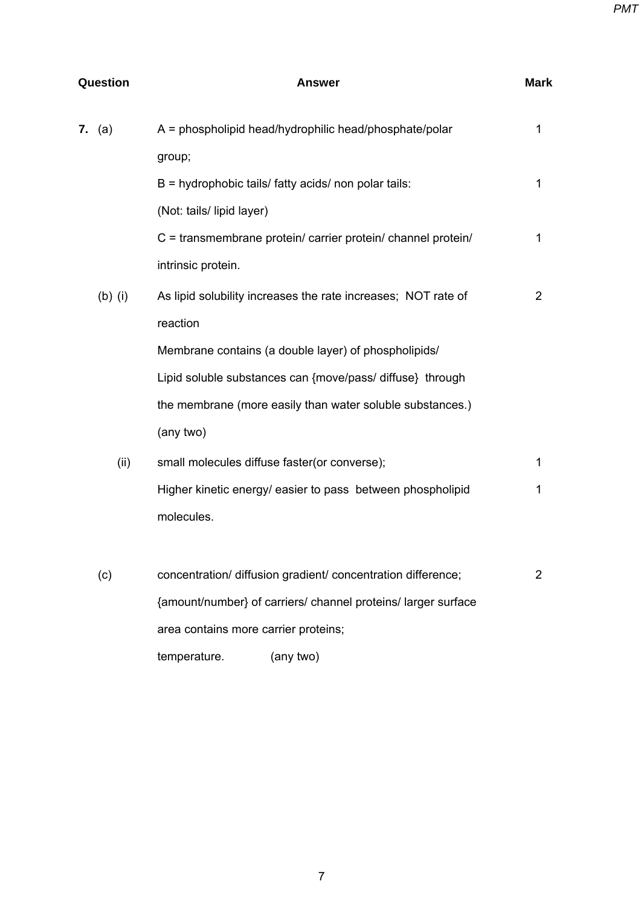| <b>Question</b> | Answer                                                        |   |
|-----------------|---------------------------------------------------------------|---|
| <b>7.</b> (a)   | A = phospholipid head/hydrophilic head/phosphate/polar        | 1 |
|                 | group;                                                        |   |
|                 | B = hydrophobic tails/ fatty acids/ non polar tails:          | 1 |
|                 | (Not: tails/ lipid layer)                                     |   |
|                 | C = transmembrane protein/ carrier protein/ channel protein/  | 1 |
|                 | intrinsic protein.                                            |   |
| $(b)$ (i)       | As lipid solubility increases the rate increases; NOT rate of | 2 |
|                 | reaction                                                      |   |
|                 | Membrane contains (a double layer) of phospholipids/          |   |
|                 | Lipid soluble substances can {move/pass/ diffuse} through     |   |
|                 | the membrane (more easily than water soluble substances.)     |   |
|                 | (any two)                                                     |   |
| (ii)            | small molecules diffuse faster(or converse);                  | 1 |
|                 | Higher kinetic energy/ easier to pass between phospholipid    | 1 |
|                 | molecules.                                                    |   |
|                 |                                                               |   |
| (c)             | concentration/ diffusion gradient/ concentration difference;  | 2 |
|                 | {amount/number} of carriers/ channel proteins/ larger surface |   |
|                 | area contains more carrier proteins;                          |   |
|                 | temperature.<br>(any two)                                     |   |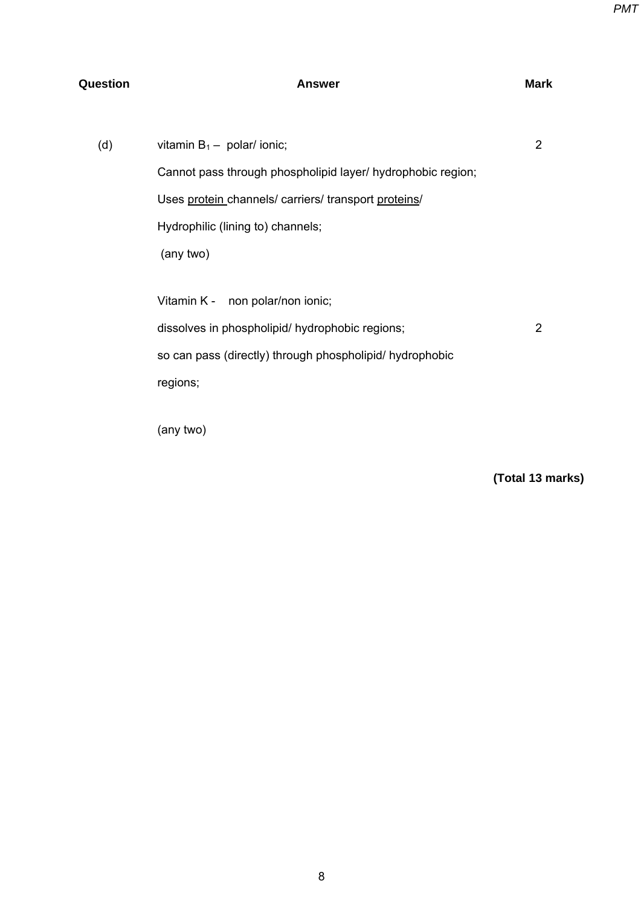## **Question Contract Answer Answer Answer** Mark

| (d) | vitamin $B_1$ – polar/ ionic;                               | 2             |
|-----|-------------------------------------------------------------|---------------|
|     | Cannot pass through phospholipid layer/ hydrophobic region; |               |
|     | Uses protein channels/ carriers/ transport proteins/        |               |
|     | Hydrophilic (lining to) channels;                           |               |
|     | (any two)                                                   |               |
|     |                                                             |               |
|     | Vitamin K - non polar/non ionic;                            |               |
|     | dissolves in phospholipid/ hydrophobic regions;             | $\mathcal{P}$ |
|     | so can pass (directly) through phospholipid/ hydrophobic    |               |
|     | regions;                                                    |               |
|     |                                                             |               |

(any two)

**(Total 13 marks)**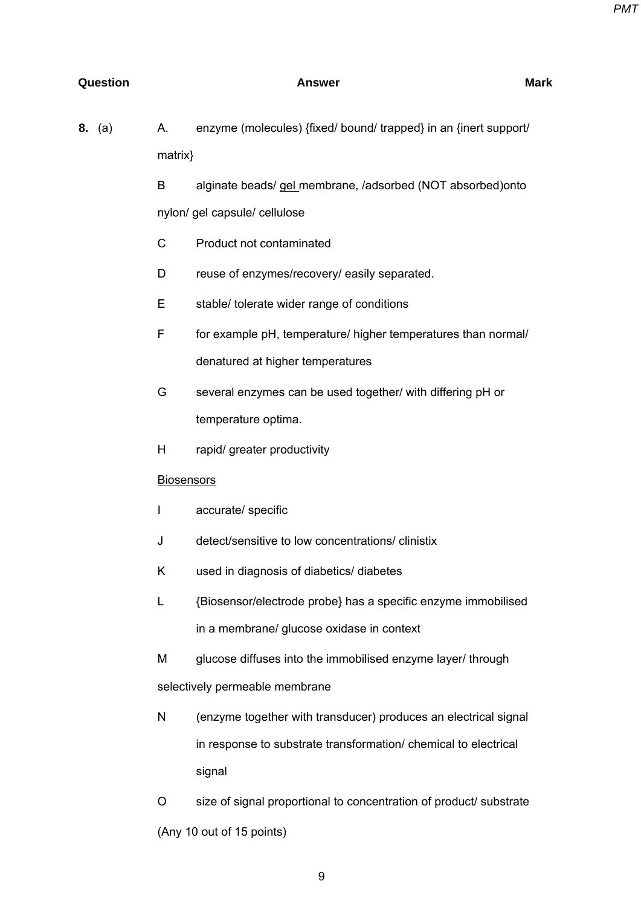### **Question Contract Answer Answer** Answer Mark

| <b>8.</b> (a) | А.                | enzyme (molecules) {fixed/ bound/ trapped} in an {inert support/ |
|---------------|-------------------|------------------------------------------------------------------|
|               | $matrix\}$        |                                                                  |
|               | B                 | alginate beads/ gel_membrane, /adsorbed (NOT absorbed) onto      |
|               |                   | nylon/ gel capsule/ cellulose                                    |
|               | $\mathsf C$       | Product not contaminated                                         |
|               | D                 | reuse of enzymes/recovery/ easily separated.                     |
|               | Е                 | stable/ tolerate wider range of conditions                       |
|               | F                 | for example pH, temperature/ higher temperatures than normal/    |
|               |                   | denatured at higher temperatures                                 |
|               | G                 | several enzymes can be used together/ with differing pH or       |
|               |                   | temperature optima.                                              |
|               | H                 | rapid/ greater productivity                                      |
|               | <b>Biosensors</b> |                                                                  |
|               | $\mathsf{I}$      | accurate/ specific                                               |
|               | J                 | detect/sensitive to low concentrations/ clinistix                |
|               | Κ                 | used in diagnosis of diabetics/ diabetes                         |
|               | L                 | {Biosensor/electrode probe} has a specific enzyme immobilised    |
|               |                   | in a membrane/ glucose oxidase in context                        |
|               | M                 | glucose diffuses into the immobilised enzyme layer/ through      |
|               |                   | selectively permeable membrane                                   |
|               | N                 | (enzyme together with transducer) produces an electrical signal  |
|               |                   | in response to substrate transformation/ chemical to electrical  |
|               |                   | signal                                                           |
|               |                   |                                                                  |

 O size of signal proportional to concentration of product/ substrate (Any 10 out of 15 points)